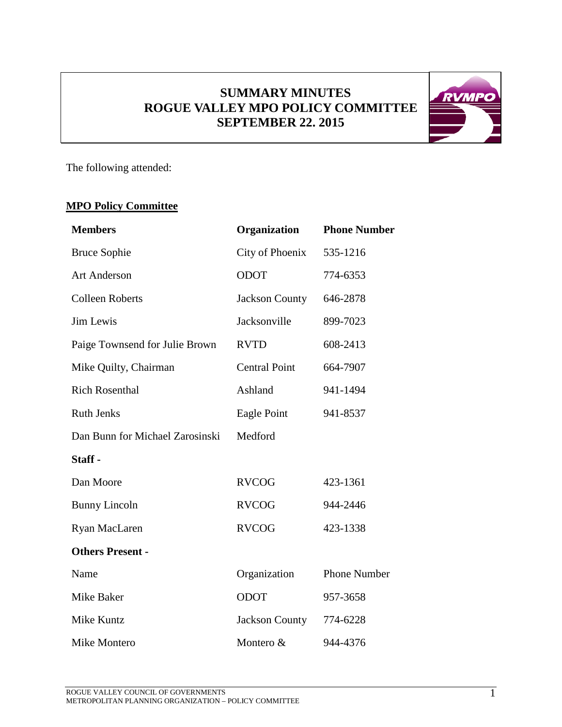## **SUMMARY MINUTES ROGUE VALLEY MPO POLICY COMMITTEE SEPTEMBER 22. 2015**



The following attended:

# **MPO Policy Committee**

| <b>Members</b>                  | Organization          | <b>Phone Number</b> |
|---------------------------------|-----------------------|---------------------|
| <b>Bruce Sophie</b>             | City of Phoenix       | 535-1216            |
| <b>Art Anderson</b>             | <b>ODOT</b>           | 774-6353            |
| <b>Colleen Roberts</b>          | <b>Jackson County</b> | 646-2878            |
| Jim Lewis                       | Jacksonville          | 899-7023            |
| Paige Townsend for Julie Brown  | <b>RVTD</b>           | 608-2413            |
| Mike Quilty, Chairman           | <b>Central Point</b>  | 664-7907            |
| <b>Rich Rosenthal</b>           | Ashland               | 941-1494            |
| <b>Ruth Jenks</b>               | Eagle Point           | 941-8537            |
| Dan Bunn for Michael Zarosinski | Medford               |                     |
| Staff-                          |                       |                     |
| Dan Moore                       | <b>RVCOG</b>          | 423-1361            |
| <b>Bunny Lincoln</b>            | <b>RVCOG</b>          | 944-2446            |
| Ryan MacLaren                   | <b>RVCOG</b>          | 423-1338            |
| <b>Others Present -</b>         |                       |                     |
| Name                            | Organization          | <b>Phone Number</b> |
| Mike Baker                      | <b>ODOT</b>           | 957-3658            |
| Mike Kuntz                      | <b>Jackson County</b> | 774-6228            |
| Mike Montero                    | Montero &             | 944-4376            |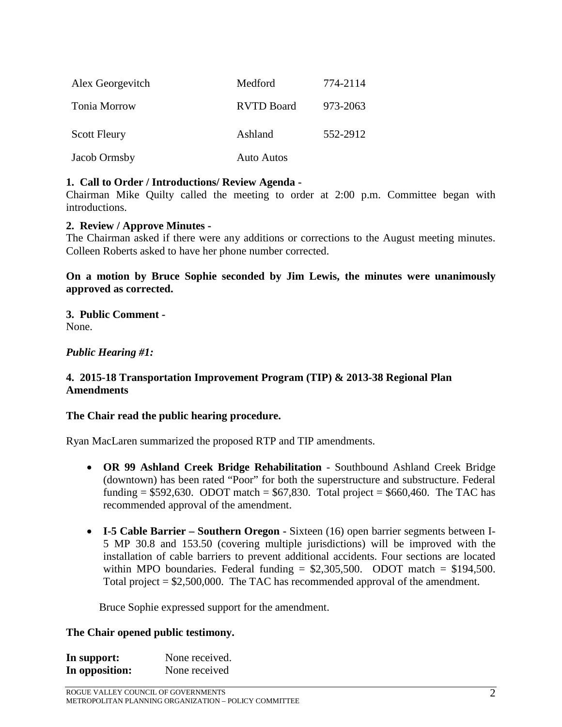| Alex Georgevitch    | Medford           | 774-2114 |
|---------------------|-------------------|----------|
| Tonia Morrow        | <b>RVTD Board</b> | 973-2063 |
| <b>Scott Fleury</b> | Ashland           | 552-2912 |
| Jacob Ormsby        | <b>Auto Autos</b> |          |

#### **1. Call to Order / Introductions/ Review Agenda -**

Chairman Mike Quilty called the meeting to order at 2:00 p.m. Committee began with introductions.

#### **2. Review / Approve Minutes -**

The Chairman asked if there were any additions or corrections to the August meeting minutes. Colleen Roberts asked to have her phone number corrected.

#### **On a motion by Bruce Sophie seconded by Jim Lewis, the minutes were unanimously approved as corrected.**

**3. Public Comment -** None.

#### *Public Hearing #1:*

#### **4. 2015-18 Transportation Improvement Program (TIP) & 2013-38 Regional Plan Amendments**

#### **The Chair read the public hearing procedure.**

Ryan MacLaren summarized the proposed RTP and TIP amendments.

- **OR 99 Ashland Creek Bridge Rehabilitation** Southbound Ashland Creek Bridge (downtown) has been rated "Poor" for both the superstructure and substructure. Federal funding =  $$592,630$ . ODOT match =  $$67,830$ . Total project =  $$660,460$ . The TAC has recommended approval of the amendment.
- **I-5 Cable Barrier – Southern Oregon -** Sixteen (16) open barrier segments between I-5 MP 30.8 and 153.50 (covering multiple jurisdictions) will be improved with the installation of cable barriers to prevent additional accidents. Four sections are located within MPO boundaries. Federal funding  $= $2,305,500$ . ODOT match  $= $194,500$ . Total project = \$2,500,000. The TAC has recommended approval of the amendment.

Bruce Sophie expressed support for the amendment.

#### **The Chair opened public testimony.**

| In support:    | None received. |
|----------------|----------------|
| In opposition: | None received  |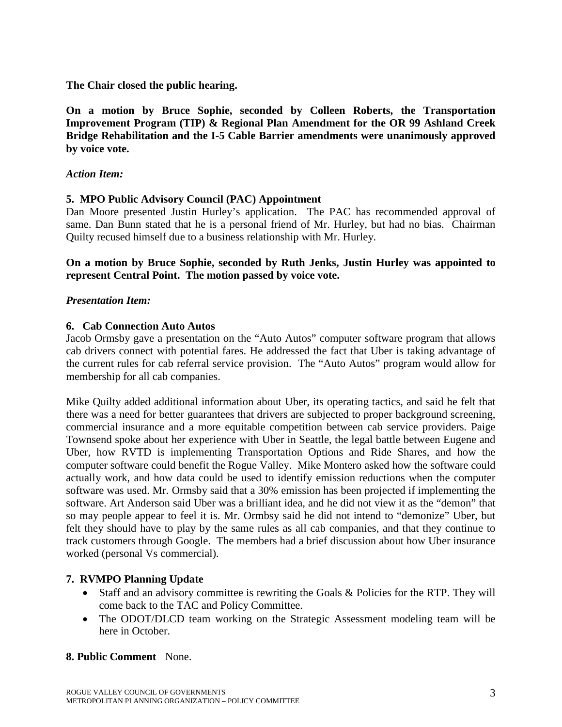**The Chair closed the public hearing.**

**On a motion by Bruce Sophie, seconded by Colleen Roberts, the Transportation Improvement Program (TIP) & Regional Plan Amendment for the OR 99 Ashland Creek Bridge Rehabilitation and the I-5 Cable Barrier amendments were unanimously approved by voice vote.**

#### *Action Item:*

## **5. MPO Public Advisory Council (PAC) Appointment**

Dan Moore presented Justin Hurley's application. The PAC has recommended approval of same. Dan Bunn stated that he is a personal friend of Mr. Hurley, but had no bias. Chairman Quilty recused himself due to a business relationship with Mr. Hurley.

#### **On a motion by Bruce Sophie, seconded by Ruth Jenks, Justin Hurley was appointed to represent Central Point. The motion passed by voice vote.**

#### *Presentation Item:*

#### **6. Cab Connection Auto Autos**

Jacob Ormsby gave a presentation on the "Auto Autos" computer software program that allows cab drivers connect with potential fares. He addressed the fact that Uber is taking advantage of the current rules for cab referral service provision. The "Auto Autos" program would allow for membership for all cab companies.

Mike Quilty added additional information about Uber, its operating tactics, and said he felt that there was a need for better guarantees that drivers are subjected to proper background screening, commercial insurance and a more equitable competition between cab service providers. Paige Townsend spoke about her experience with Uber in Seattle, the legal battle between Eugene and Uber, how RVTD is implementing Transportation Options and Ride Shares, and how the computer software could benefit the Rogue Valley. Mike Montero asked how the software could actually work, and how data could be used to identify emission reductions when the computer software was used. Mr. Ormsby said that a 30% emission has been projected if implementing the software. Art Anderson said Uber was a brilliant idea, and he did not view it as the "demon" that so may people appear to feel it is. Mr. Ormbsy said he did not intend to "demonize" Uber, but felt they should have to play by the same rules as all cab companies, and that they continue to track customers through Google. The members had a brief discussion about how Uber insurance worked (personal Vs commercial).

## **7. RVMPO Planning Update**

- Staff and an advisory committee is rewriting the Goals & Policies for the RTP. They will come back to the TAC and Policy Committee.
- The ODOT/DLCD team working on the Strategic Assessment modeling team will be here in October.

## **8. Public Comment** None.